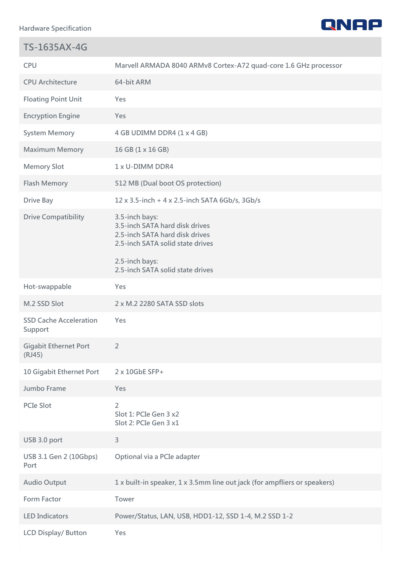**Hardware Specification**

П



| <b>TS-1635AX-4G</b>                      |                                                                                                                        |
|------------------------------------------|------------------------------------------------------------------------------------------------------------------------|
| <b>CPU</b>                               | Marvell ARMADA 8040 ARMv8 Cortex-A72 quad-core 1.6 GHz processor                                                       |
| <b>CPU Architecture</b>                  | 64-bit ARM                                                                                                             |
| <b>Floating Point Unit</b>               | <b>Yes</b>                                                                                                             |
| <b>Encryption Engine</b>                 | Yes                                                                                                                    |
| <b>System Memory</b>                     | 4 GB UDIMM DDR4 (1 x 4 GB)                                                                                             |
| <b>Maximum Memory</b>                    | 16 GB (1 x 16 GB)                                                                                                      |
| <b>Memory Slot</b>                       | 1 x U-DIMM DDR4                                                                                                        |
| <b>Flash Memory</b>                      | 512 MB (Dual boot OS protection)                                                                                       |
| <b>Drive Bay</b>                         | 12 x 3.5-inch + 4 x 2.5-inch SATA 6Gb/s, 3Gb/s                                                                         |
| <b>Drive Compatibility</b>               | 3.5-inch bays:<br>3.5-inch SATA hard disk drives<br>2.5-inch SATA hard disk drives<br>2.5-inch SATA solid state drives |
|                                          | 2.5-inch bays:<br>2.5-inch SATA solid state drives                                                                     |
| Hot-swappable                            | Yes                                                                                                                    |
| M.2 SSD Slot                             | 2 x M.2 2280 SATA SSD slots                                                                                            |
| <b>SSD Cache Acceleration</b><br>Support | Yes                                                                                                                    |
| <b>Gigabit Ethernet Port</b><br>(RJ45)   | $\overline{2}$                                                                                                         |
| 10 Gigabit Ethernet Port                 | 2 x 10GbE SFP+                                                                                                         |
| Jumbo Frame                              | Yes                                                                                                                    |
| <b>PCIe Slot</b>                         | $\overline{2}$<br>Slot 1: PCIe Gen 3 x2<br>Slot 2: PCIe Gen 3 x1                                                       |
| USB 3.0 port                             | 3                                                                                                                      |
| USB 3.1 Gen 2 (10Gbps)<br>Port           | Optional via a PCIe adapter                                                                                            |
| <b>Audio Output</b>                      | 1 x built-in speaker, 1 x 3.5mm line out jack (for ampfliers or speakers)                                              |
| Form Factor                              | Tower                                                                                                                  |
| <b>LED Indicators</b>                    | Power/Status, LAN, USB, HDD1-12, SSD 1-4, M.2 SSD 1-2                                                                  |
| <b>LCD Display/ Button</b>               | Yes                                                                                                                    |